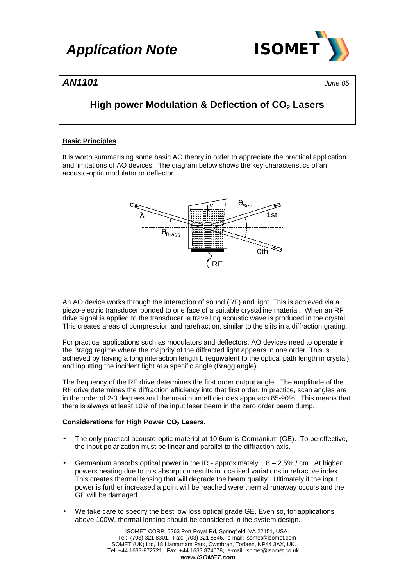

### *AN1101 June 05*

### **High power Modulation & Deflection of CO2 Lasers**

#### **Basic Principles**

It is worth summarising some basic AO theory in order to appreciate the practical application and limitations of AO devices. The diagram below shows the key characteristics of an acousto-optic modulator or deflector.



An AO device works through the interaction of sound (RF) and light. This is achieved via a piezo-electric transducer bonded to one face of a suitable crystalline material. When an RF drive signal is applied to the transducer, a travelling acoustic wave is produced in the crystal. This creates areas of compression and rarefraction, similar to the slits in a diffraction grating.

For practical applications such as modulators and deflectors, AO devices need to operate in the Bragg regime where the majority of the diffracted light appears in one order. This is achieved by having a long interaction length L (equivalent to the optical path length in crystal), and inputting the incident light at a specific angle (Bragg angle).

The frequency of the RF drive determines the first order output angle. The amplitude of the RF drive determines the diffraction efficiency into that first order. In practice, scan angles are in the order of 2-3 degrees and the maximum efficiencies approach 85-90%. This means that there is always at least 10% of the input laser beam in the zero order beam dump.

#### **Considerations for High Power CO2 Lasers.**

- The only practical acousto-optic material at 10.6um is Germanium (GE). To be effective, the input polarization must be linear and parallel to the diffraction axis.
- Germanium absorbs optical power in the IR approximately  $1.8 2.5\%$  / cm. At higher powers heating due to this absorption results in localised variations in refractive index. This creates thermal lensing that will degrade the beam quality. Ultimately if the input power is further increased a point will be reached were thermal runaway occurs and the GE will be damaged.
- We take care to specify the best low loss optical grade GE. Even so, for applications above 100W, thermal lensing should be considered in the system design.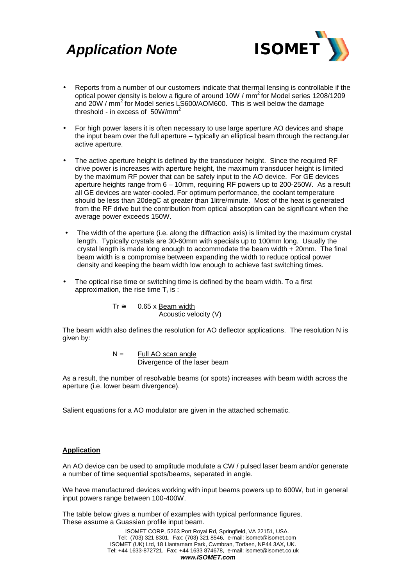## *Application Note ISOMET*



- Reports from a number of our customers indicate that thermal lensing is controllable if the optical power density is below a figure of around 10W / mm<sup>2</sup> for Model series 1208/1209 and 20W /  $mm^2$  for Model series LS600/AOM600. This is well below the damage threshold - in excess of  $50W/mm^2$
- For high power lasers it is often necessary to use large aperture AO devices and shape the input beam over the full aperture – typically an elliptical beam through the rectangular active aperture.
- The active aperture height is defined by the transducer height. Since the required RF drive power is increases with aperture height, the maximum transducer height is limited by the maximum RF power that can be safely input to the AO device. For GE devices aperture heights range from 6 – 10mm, requiring RF powers up to 200-250W. As a result all GE devices are water-cooled. For optimum performance, the coolant temperature should be less than 20degC at greater than 1litre/minute. Most of the heat is generated from the RF drive but the contribution from optical absorption can be significant when the average power exceeds 150W.
- The width of the aperture (i.e. along the diffraction axis) is limited by the maximum crystal length. Typically crystals are 30-60mm with specials up to 100mm long. Usually the crystal length is made long enough to accommodate the beam width + 20mm. The final beam width is a compromise between expanding the width to reduce optical power density and keeping the beam width low enough to achieve fast switching times.
- The optical rise time or switching time is defined by the beam width. To a first approximation, the rise time  $T_r$  is :

$$
Tr \cong 0.65 \times \frac{Beam width}{Acoustic velocity (V)}
$$

The beam width also defines the resolution for AO deflector applications. The resolution N is given by:

$$
N = \frac{Full\ AO\ scan\ angle}{Divergence\ of\ the\ laser\ beam}
$$

As a result, the number of resolvable beams (or spots) increases with beam width across the aperture (i.e. lower beam divergence).

Salient equations for a AO modulator are given in the attached schematic.

#### **Application**

An AO device can be used to amplitude modulate a CW / pulsed laser beam and/or generate a number of time sequential spots/beams, separated in angle.

We have manufactured devices working with input beams powers up to 600W, but in general input powers range between 100-400W.

The table below gives a number of examples with typical performance figures. These assume a Guassian profile input beam.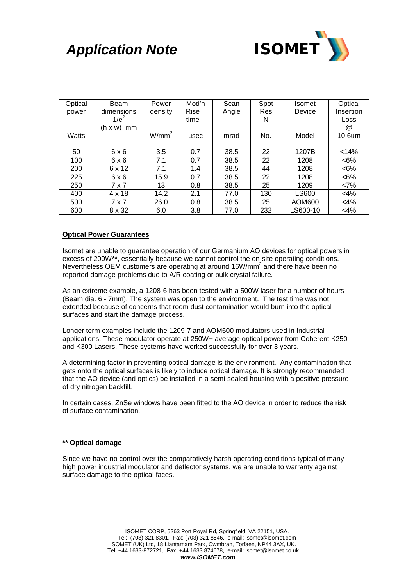# *Application Note ISOMET*



| Optical | Beam                 | Power             | Mod'n | Scan  | Spot       | <b>Isomet</b> | Optical              |
|---------|----------------------|-------------------|-------|-------|------------|---------------|----------------------|
| power   | dimensions           | density           | Rise  | Angle | <b>Res</b> | Device        | Insertion            |
|         | $1/e^2$              |                   | time  |       | N          |               | Loss                 |
|         | $(h \times w)$<br>mm |                   |       |       |            |               | $^{\textregistered}$ |
| Watts   |                      | W/mm <sup>2</sup> | usec  | mrad  | No.        | Model         | 10.6um               |
|         |                      |                   |       |       |            |               |                      |
| 50      | $6 \times 6$         | 3.5               | 0.7   | 38.5  | 22         | 1207B         | < 14%                |
| 100     | 6x6                  | 7.1               | 0.7   | 38.5  | 22         | 1208          | $<6\%$               |
| 200     | 6 x 12               | 7.1               | 1.4   | 38.5  | 44         | 1208          | $<6\%$               |
| 225     | 6x6                  | 15.9              | 0.7   | 38.5  | 22         | 1208          | $<6\%$               |
| 250     | 7 x 7                | 13                | 0.8   | 38.5  | 25         | 1209          | <7%                  |
| 400     | $4 \times 18$        | 14.2              | 2.1   | 77.0  | 130        | <b>LS600</b>  | $<$ 4%               |
| 500     | 7 x 7                | 26.0              | 0.8   | 38.5  | 25         | AOM600        | $<$ 4%               |
| 600     | 8 x 32               | 6.0               | 3.8   | 77.0  | 232        | LS600-10      | $<$ 4%               |

#### **Optical Power Guarantees**

Isomet are unable to guarantee operation of our Germanium AO devices for optical powers in excess of 200W**\*\***, essentially because we cannot control the on-site operating conditions. Nevertheless OEM customers are operating at around 16W/mm<sup>2</sup> and there have been no reported damage problems due to A/R coating or bulk crystal failure.

As an extreme example, a 1208-6 has been tested with a 500W laser for a number of hours (Beam dia. 6 - 7mm). The system was open to the environment. The test time was not extended because of concerns that room dust contamination would burn into the optical surfaces and start the damage process.

Longer term examples include the 1209-7 and AOM600 modulators used in Industrial applications. These modulator operate at 250W+ average optical power from Coherent K250 and K300 Lasers. These systems have worked successfully for over 3 years.

A determining factor in preventing optical damage is the environment. Any contamination that gets onto the optical surfaces is likely to induce optical damage. It is strongly recommended that the AO device (and optics) be installed in a semi-sealed housing with a positive pressure of dry nitrogen backfill.

In certain cases, ZnSe windows have been fitted to the AO device in order to reduce the risk of surface contamination.

#### **\*\* Optical damage**

Since we have no control over the comparatively harsh operating conditions typical of many high power industrial modulator and deflector systems, we are unable to warranty against surface damage to the optical faces.